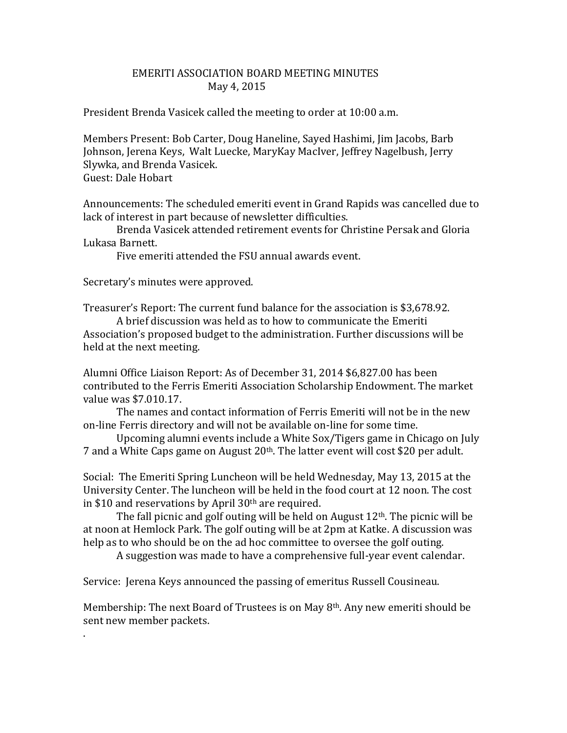## EMERITI ASSOCIATION BOARD MEETING MINUTES May 4, 2015

President Brenda Vasicek called the meeting to order at 10:00 a.m.

Members Present: Bob Carter, Doug Haneline, Sayed Hashimi, Jim Jacobs, Barb Johnson, Jerena Keys, Walt Luecke, MaryKay MacIver, Jeffrey Nagelbush, Jerry Slywka, and Brenda Vasicek. Guest: Dale Hobart

Announcements: The scheduled emeriti event in Grand Rapids was cancelled due to lack of interest in part because of newsletter difficulties.

Brenda Vasicek attended retirement events for Christine Persak and Gloria Lukasa Barnett.

Five emeriti attended the FSU annual awards event.

Secretary's minutes were approved.

.

Treasurer's Report: The current fund balance for the association is \$3,678.92.

A brief discussion was held as to how to communicate the Emeriti Association's proposed budget to the administration. Further discussions will be held at the next meeting.

Alumni Office Liaison Report: As of December 31, 2014 \$6,827.00 has been contributed to the Ferris Emeriti Association Scholarship Endowment. The market value was \$7.010.17.

The names and contact information of Ferris Emeriti will not be in the new on-line Ferris directory and will not be available on-line for some time.

Upcoming alumni events include a White Sox/Tigers game in Chicago on July 7 and a White Caps game on August 20th. The latter event will cost \$20 per adult.

Social: The Emeriti Spring Luncheon will be held Wednesday, May 13, 2015 at the University Center. The luncheon will be held in the food court at 12 noon. The cost in \$10 and reservations by April  $30<sup>th</sup>$  are required.

The fall picnic and golf outing will be held on August  $12<sup>th</sup>$ . The picnic will be at noon at Hemlock Park. The golf outing will be at 2pm at Katke. A discussion was help as to who should be on the ad hoc committee to oversee the golf outing.

A suggestion was made to have a comprehensive full-year event calendar.

Service: Jerena Keys announced the passing of emeritus Russell Cousineau.

Membership: The next Board of Trustees is on May 8th. Any new emeriti should be sent new member packets.